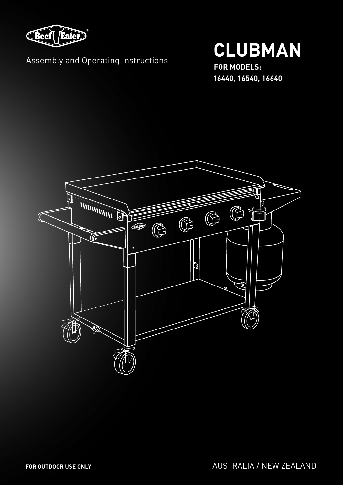

### Assembly and Operating Instructions

# **CLUBMAN**

**FOR MODELS: 16440, 16540, 16640**

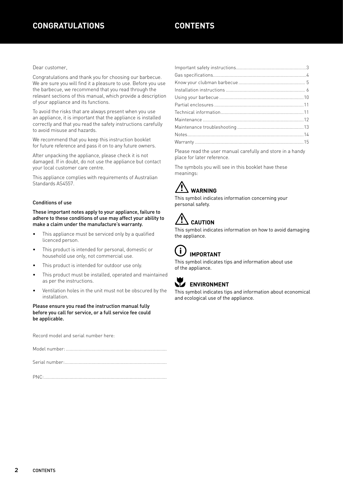Dear customer,

Congratulations and thank you for choosing our barbecue. We are sure you will find it a pleasure to use. Before you use the barbecue, we recommend that you read through the relevant sections of this manual, which provide a description of your appliance and its functions.

To avoid the risks that are always present when you use an appliance, it is important that the appliance is installed correctly and that you read the safety instructions carefully to avoid misuse and hazards.

We recommend that you keep this instruction booklet for future reference and pass it on to any future owners.

After unpacking the appliance, please check it is not damaged. If in doubt, do not use the appliance but contact your local customer care centre.

This appliance complies with requirements of Australian Standards AS4557.

#### Conditions of use

These important notes apply to your appliance, failure to adhere to these conditions of use may affect your ability to make a claim under the manufacture's warranty.

- This appliance must be serviced only by a qualified licenced person.
- This product is intended for personal, domestic or household use only, not commercial use.
- This product is intended for outdoor use only.
- This product must be installed, operated and maintained as per the instructions.
- Ventilation holes in the unit must not be obscured by the installation.

#### Please ensure you read the instruction manual fully before you call for service, or a full service fee could be applicable.

Record model and serial number here:

Model number: ...............................................................................

Serial number:................................................................................

PNC:................................................................................................

Please read the user manual carefully and store in a handy place for later reference.

The symbols you will see in this booklet have these meanings:



This symbol indicates information concerning your personal safety.

## **CAUTION**

This symbol indicates information on how to avoid damaging the appliance.



of the appliance.

This symbol indicates tips and information about use



#### **ENVIRONMENT**

This symbol indicates tips and information about economical and ecological use of the appliance.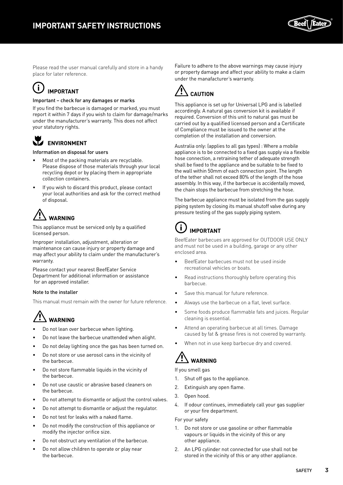

Please read the user manual carefully and store in a handy place for later reference.

#### $\mathbf{i}$ **IMPORTANT**

#### Important – check for any damages or marks

If you find the barbecue is damaged or marked, you must report it within 7 days if you wish to claim for damage/marks under the manufacturer's warranty. This does not affect your statutory rights.

#### **ENVIRONMENT**

#### Information on disposal for users

- Most of the packing materials are recyclable. Please dispose of those materials through your local recycling depot or by placing them in appropriate collection containers.
- If you wish to discard this product, please contact your local authorities and ask for the correct method of disposal.

### **WARNING** WARNING

This appliance must be serviced only by a qualified licensed person.

Improper installation, adjustment, alteration or maintenance can cause injury or property damage and may affect your ability to claim under the manufacturer's warranty.

Please contact your nearest BeefEater Service Department for additional information or assistance for an approved installer.

#### Note to the installer

This manual must remain with the owner for future reference.

### **WARNING** WARNING

- Do not lean over barbecue when lighting.
- Do not leave the barbecue unattended when alight.
- Do not delay lighting once the gas has been turned on.
- Do not store or use aerosol cans in the vicinity of the barbecue.
- Do not store flammable liquids in the vicinity of the barbecue.
- Do not use caustic or abrasive based cleaners on the barbecue.
- Do not attempt to dismantle or adjust the control valves.
- Do not attempt to dismantle or adjust the regulator.
- Do not test for leaks with a naked flame.
- Do not modify the construction of this appliance or modify the injector orifice size.
- Do not obstruct any ventilation of the barbecue.
- Do not allow children to operate or play near the barbecue.

Failure to adhere to the above warnings may cause injury or property damage and affect your ability to make a claim under the manafacturer's warranty.



This appliance is set up for Universal LPG and is labelled accordingly. A natural gas conversion kit is available if required. Conversion of this unit to natural gas must be carried out by a qualified licensed person and a Certificate of Compliance must be issued to the owner at the completion of the installation and conversion.

Australia only: (applies to all gas types) : Where a mobile appliance is to be connected to a fixed gas supply via a flexible hose connection, a retraining tether of adequate strength shall be fixed to the appliance and be suitable to be fixed to the wall within 50mm of each connection point. The length of the tether shall not exceed 80% of the length of the hose assembly. In this way, if the barbecue is accidentally moved, the chain stops the barbecue from stretching the hose.

The barbecue appliance must be isolated from the gas supply piping system by closing its manual shutoff valve during any pressure testing of the gas supply piping system.

#### $\mathbf{i}$ **IMPORTANT**

BeefEater barbecues are approved for OUTDOOR USE ONLY and must not be used in a building, garage or any other enclosed area.

- BeefEater barbecues must not be used inside recreational vehicles or boats.
- Read instructions thoroughly before operating this barbecue.
- Save this manual for future reference.
- Always use the barbecue on a flat, level surface.
- Some foods produce flammable fats and juices. Regular cleaning is essential.
- Attend an operating barbecue at all times. Damage caused by fat & grease fires is not covered by warranty.
- When not in use keep barbecue dry and covered.

### **WARNING** WARNING

If you smell gas

- 1. Shut off gas to the appliance.
- 2. Extinguish any open flame.
- 3. Open hood.
- 4. If odour continues, immediately call your gas supplier or your fire department.

#### For your safety

- 1. Do not store or use gasoline or other flammable vapours or liquids in the vicinity of this or any other appliance.
- 2. An LPG cylinder not connected for use shall not be stored in the vicinity of this or any other appliance.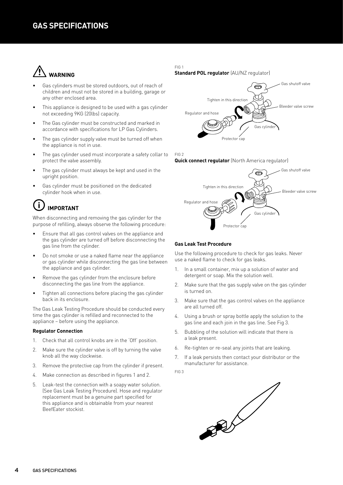### **WARNING** WARNING

- Gas cylinders must be stored outdoors, out of reach of children and must not be stored in a building, garage or any other enclosed area.
- This appliance is designed to be used with a gas cylinder not exceeding 9KG (20lbs) capacity.
- The Gas cylinder must be constructed and marked in accordance with specifications for LP Gas Cylinders.
- The gas cylinder supply valve must be turned off when the appliance is not in use.
- The gas cylinder used must incorporate a safety collar to protect the valve assembly.
- The gas cylinder must always be kept and used in the upright position.
- Gas cylinder must be positioned on the dedicated cylinder hook when in use.

#### $\mathbf i$ **IMPORTANT**

When disconnecting and removing the gas cylinder for the purpose of refilling, always observe the following procedure:

- Ensure that all gas control valves on the appliance and the gas cylinder are turned off before disconnecting the gas line from the cylinder.
- Do not smoke or use a naked flame near the appliance or gas cylinder while disconnecting the gas line between the appliance and gas cylinder.
- Remove the gas cylinder from the enclosure before disconnecting the gas line from the appliance.
- Tighten all connections before placing the gas cylinder back in its enclosure.

The Gas Leak Testing Procedure should be conducted every time the gas cylinder is refilled and reconnected to the appliance – before using the appliance.

#### **Regulator Connection**

- 1. Check that all control knobs are in the 'Off' position.
- 2. Make sure the cylinder valve is off by turning the valve knob all the way clockwise.
- 3. Remove the protective cap from the cylinder if present.
- 4. Make connection as described in figures 1 and 2.
- 5. Leak-test the connection with a soapy water solution. (See Gas Leak Testing Procedure). Hose and regulator replacement must be a genuine part specified for this appliance and is obtainable from your nearest BeefEater stockist.

#### FIG 1

#### **Standard POL regulator** (AU/NZ regulator)



#### FIG 2

#### **Quick connect regulator** (North America regulator)



#### **Gas Leak Test Procedure**

Use the following procedure to check for gas leaks. Never use a naked flame to check for gas leaks.

- 1. In a small container, mix up a solution of water and detergent or soap. Mix the solution well.
- 2. Make sure that the gas supply valve on the gas cylinder is turned on.
- 3. Make sure that the gas control valves on the appliance are all turned off.
- 4. Using a brush or spray bottle apply the solution to the gas line and each join in the gas line. See Fig 3.
- 5. Bubbling of the solution will indicate that there is a leak present.
- 6. Re-tighten or re-seal any joints that are leaking.
- 7. If a leak persists then contact your distributor or the manufacturer for assistance.
- FIG 3

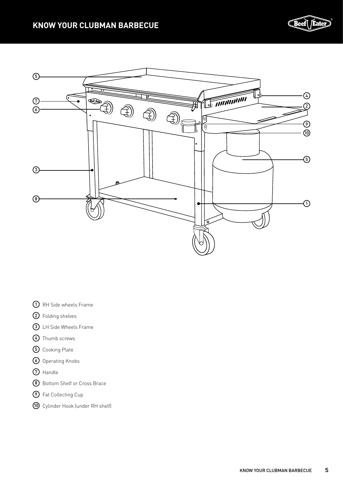

- RH Side wheels Frame
- Folding shelves
- LH Side Wheels Frame
- Thumb screws
- Cooking Plate
- Operating Knobs
- Handle
- Bottom Shelf or Cross Brace
- Fat Collecting Cup
- Cylinder Hook (under RH shelf)

CBeef( *Ea*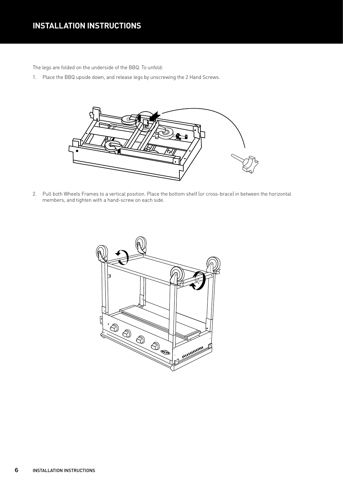### **INSTALLATION INSTRUCTIONS**

The legs are folded on the underside of the BBQ. To unfold:

1. Place the BBQ upside down, and release legs by unscrewing the 2 Hand Screws.



2. Pull both Wheels Frames to a vertical position. Place the bottom shelf (or cross-brace) in between the horizontal members, and tighten with a hand-screw on each side.

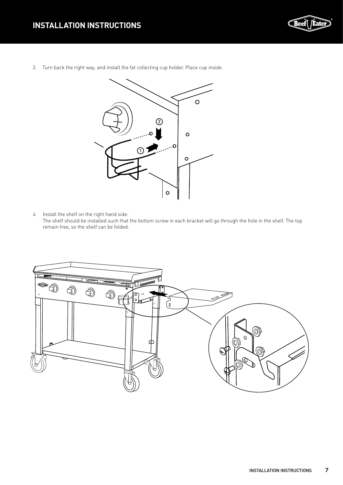

3. Turn back the right way, and install the fat collecting cup holder. Place cup inside.



4. Install the shelf on the right hand side:

The shelf should be installed such that the bottom screw in each bracket will go through the hole in the shelf. The top remain free, so the shelf can be folded.

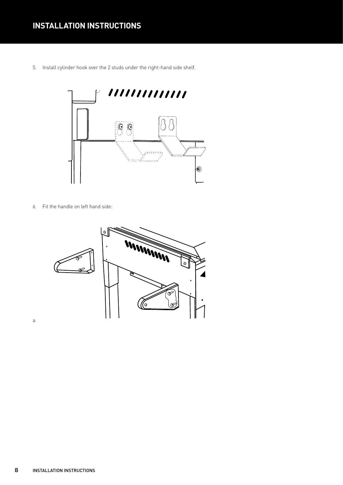5. Install cylinder hook over the 2 studs under the right-hand side shelf.



6. Fit the handle on left hand side:



a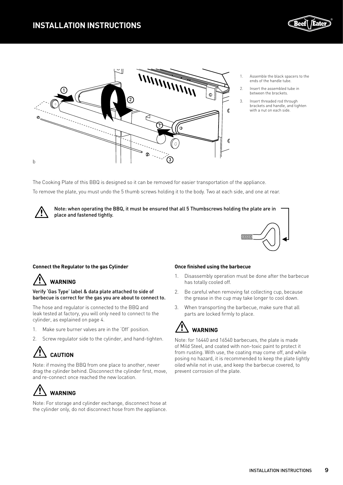



- 1. Assemble the black spacers to the ends of the handle tube.
- 2. Insert the assembled tube in between the brackets.
- 3. Insert threaded rod through brackets and handle, and tighten with a nut on each side.

The Cooking Plate of this BBQ is designed so it can be removed for easier transportation of the appliance.

To remove the plate, you must undo the 5 thumb screws holding it to the body. Two at each side, and one at rear.

place and fastened tightly. Note: when operating the BBQ, it must be ensured that all 5 Thumbscrews holding the plate are in



#### **Connect the Regulator to the gas Cylinder**

### WARNING

Verify 'Gas Type' label & data plate attached to side of barbecue is correct for the gas you are about to connect to.

The hose and regulator is connected to the BBQ and leak tested at factory, you will only need to connect to the cylinder, as explained on page 4.

- 1. Make sure burner valves are in the 'Off' position.
- 2. Screw regulator side to the cylinder, and hand-tighten.

### **CAUTION**

Note: if moving the BBQ from one place to another, never drag the cylinder behind. Disconnect the cylinder first, move, and re-connect once reached the new location.



Note: For storage and cylinder exchange, disconnect hose at the cylinder only, do not disconnect hose from the appliance.

#### **Once finished using the barbecue**

- 1. Disassembly operation must be done after the barbecue has totally cooled off.
- 2. Be careful when removing fat collecting cup, because the grease in the cup may take longer to cool down.
- 3. When transporting the barbecue, make sure that all parts are locked firmly to place.

### **WARNING**

Note: for 16440 and 16540 barbecues, the plate is made of Mild Steel, and coated with non-toxic paint to protect it from rusting. With use, the coating may come off, and while posing no hazard, it is recommended to keep the plate lightly oiled while not in use, and keep the barbecue covered, to prevent corrosion of the plate.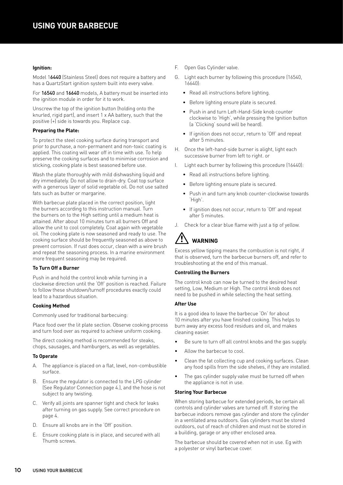#### **Ignition:**

Model 16440 (Stainless Steel) does not require a battery and has a QuartzStart ignition system built into every valve.

For 16540 and 16640 models, A battery must be inserted into the ignition module in order for it to work.

Unscrew the top of the ignition button (holding onto the knurled, rigid part), and insert 1 x AA battery, such that the positive (+) side is towards you. Replace cup.

#### **Preparing the Plate:**

To protect the steel cooking surface during transport and prior to purchase, a non-permanent and non-toxic coating is applied. This coating will wear off in time with use. To help preserve the cooking surfaces and to minimise corrosion and sticking, cooking plate is best seasoned before use.

Wash the plate thoroughly with mild dishwashing liquid and dry immediately. Do not allow to drain-dry. Coat top surface with a generous layer of solid vegetable oil. Do not use salted fats such as butter or margarine.

With barbecue plate placed in the correct position, light the burners according to this instruction manual. Turn the burners on to the High setting until a medium heat is attained. After about 10 minutes turn all burners Off and allow the unit to cool completely. Coat again with vegetable oil. The cooking plate is now seasoned and ready to use. The cooking surface should be frequently seasoned as above to prevent corrosion. If rust does occur, clean with a wire brush and repeat the seasoning process. In a marine environment more frequent seasoning may be required.

#### **To Turn Off a Burner**

Push in and hold the control knob while turning in a clockwise direction until the 'Off' position is reached. Failure to follow these shutdown/turnoff procedures exactly could lead to a hazardous situation.

#### **Cooking Method**

Commonly used for traditional barbecuing:

Place food over the lit plate section. Observe cooking process and turn food over as required to achieve uniform cooking.

The direct cooking method is recommended for steaks, chops, sausages, and hamburgers, as well as vegetables.

#### **To Operate**

- A. The appliance is placed on a flat, level, non-combustible surface.
- B. Ensure the regulator is connected to the LPG cylinder (See Regulator Connection page 4.), and the hose is not subject to any twisting.
- C. Verify all joints are spanner tight and check for leaks after turning on gas supply. See correct procedure on page 4.
- D. Ensure all knobs are in the 'Off' position.
- E. Ensure cooking plate is in place, and secured with all Thumb screws.
- F. Open Gas Cylinder valve.
- G. Light each burner by following this procedure (16540, 16640):
	- Read all instructions before lighting.
	- Before lighting ensure plate is secured.
	- Push in and turn Left-Hand-Side knob counter clockwise to 'High', while pressing the Ignition button (a 'Clicking' sound will be heard).
	- If ignition does not occur, return to 'Off' and repeat after 5 minutes.
- H. Once the left-hand-side burner is alight, light each successive burner from left to right. or
- I. Light each burner by following this procedure (16440):
	- Read all instructions before lighting.
	- Before lighting ensure plate is secured.
	- Push in and turn any knob counter-clockwise towards 'High'.
	- If ignition does not occur, return to 'Off' and repeat after 5 minutes.
- J. Check for a clear blue flame with just a tip of yellow.

### **WARNING**

Excess yellow tipping means the combustion is not right, if that is observed, turn the barbecue burners off, and refer to troubleshooting at the end of this manual.

#### **Controlling the Burners**

The control knob can now be turned to the desired heat setting, Low, Medium or High. The control knob does not need to be pushed in while selecting the heat setting.

#### **After Use**

It is a good idea to leave the barbecue 'On' for about 10 minutes after you have finished cooking. This helps to burn away any excess food residues and oil, and makes cleaning easier.

- Be sure to turn off all control knobs and the gas supply.
- Allow the barbecue to cool.
- Clean the fat collecting cup and cooking surfaces. Clean any food spills from the side shelves, if they are installed.
- The gas cylinder supply valve must be turned off when the appliance is not in use.

#### **Storing Your Barbecue**

When storing barbecue for extended periods, be certain all controls and cylinder valves are turned off. If storing the barbecue indoors remove gas cylinder and store the cylinder in a ventilated area outdoors. Gas cylinders must be stored outdoors, out of reach of children and must not be stored in a building, garage or any other enclosed area.

The barbecue should be covered when not in use. Eg with a polyester or vinyl barbecue cover.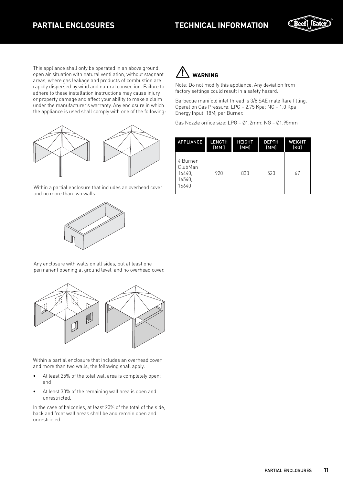

This appliance shall only be operated in an above ground, open air situation with natural ventilation, without stagnant areas, where gas leakage and products of combustion are rapidly dispersed by wind and natural convection. Failure to adhere to these installation instructions may cause injury or property damage and affect your ability to make a claim under the manufacturer's warranty. Any enclosure in which the appliance is used shall comply with one of the following:



Within a partial enclosure that includes an overhead cover and no more than two walls.



Any enclosure with walls on all sides, but at least one permanent opening at ground level, and no overhead cover.



Within a partial enclosure that includes an overhead cover and more than two walls, the following shall apply:

- At least 25% of the total wall area is completely open; and
- At least 30% of the remaining wall area is open and unrestricted.

In the case of balconies, at least 20% of the total of the side, back and front wall areas shall be and remain open and unrestricted.



Note: Do not modify this appliance. Any deviation from factory settings could result in a safety hazard.

Barbecue manifold inlet thread is 3/8 SAE male flare fitting. Operation Gas Pressure: LPG – 2.75 Kpa; NG – 1.0 Kpa Energy Input: 18Mj per Burner.

Gas Nozzle orifice size: LPG – Ø1.2mm; NG – Ø1.95mm

| <b>APPLIANCE</b>                                 | <b>LENGTH</b> | <b>HEIGHT</b> | <b>DEPTH</b> | <b>WEIGHT</b> |
|--------------------------------------------------|---------------|---------------|--------------|---------------|
|                                                  | [MM]          | [MM]          | [MM]         | [KG]          |
| 4 Burner<br>ClubMan<br>16440.<br>16540.<br>16640 | 920           | 830           | 520          | 67            |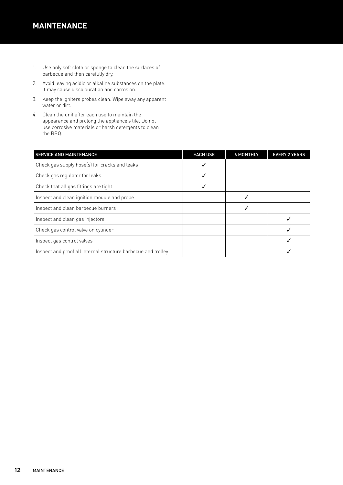### **MAINTENANCE**

- 1. Use only soft cloth or sponge to clean the surfaces of barbecue and then carefully dry.
- 2. Avoid leaving acidic or alkaline substances on the plate. It may cause discolouration and corrosion.
- 3. Keep the igniters probes clean. Wipe away any apparent water or dirt.
- 4. Clean the unit after each use to maintain the appearance and prolong the appliance's life. Do not use corrosive materials or harsh detergents to clean the BBQ.

| <b>SERVICE AND MAINTENANCE</b>                                | <b>EACH USE</b> | <b>6 MONTHLY</b> | <b>EVERY 2 YEARS</b> |
|---------------------------------------------------------------|-----------------|------------------|----------------------|
| Check gas supply hose(s) for cracks and leaks                 |                 |                  |                      |
| Check gas regulator for leaks                                 |                 |                  |                      |
| Check that all gas fittings are tight                         |                 |                  |                      |
| Inspect and clean ignition module and probe                   |                 |                  |                      |
| Inspect and clean barbecue burners                            |                 |                  |                      |
| Inspect and clean gas injectors                               |                 |                  |                      |
| Check gas control valve on cylinder                           |                 |                  |                      |
| Inspect gas control valves                                    |                 |                  |                      |
| Inspect and proof all internal structure barbecue and trolley |                 |                  |                      |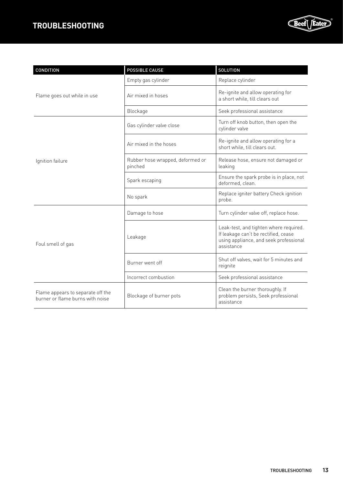### **TROUBLESHOOTING**



| CONDITION                                                             | POSSIBLE CAUSE                              | SOLUTION                                                                                                                               |
|-----------------------------------------------------------------------|---------------------------------------------|----------------------------------------------------------------------------------------------------------------------------------------|
| Flame goes out while in use                                           | Empty gas cylinder                          | Replace cylinder                                                                                                                       |
|                                                                       | Air mixed in hoses                          | Re-ignite and allow operating for<br>a short while, till clears out                                                                    |
|                                                                       | Blockage                                    | Seek professional assistance                                                                                                           |
| Ignition failure                                                      | Gas cylinder valve close                    | Turn off knob button, then open the<br>cylinder valve                                                                                  |
|                                                                       | Air mixed in the hoses                      | Re-ignite and allow operating for a<br>short while, till clears out.                                                                   |
|                                                                       | Rubber hose wrapped, deformed or<br>pinched | Release hose, ensure not damaged or<br>leaking                                                                                         |
|                                                                       | Spark escaping                              | Ensure the spark probe is in place, not<br>deformed, clean.                                                                            |
|                                                                       | No spark                                    | Replace igniter battery Check ignition<br>probe.                                                                                       |
| Foul smell of gas                                                     | Damage to hose                              | Turn cylinder valve off, replace hose.                                                                                                 |
|                                                                       | Leakage                                     | Leak-test, and tighten where required.<br>If leakage can't be rectified, cease<br>using appliance, and seek professional<br>assistance |
|                                                                       | Burner went off                             | Shut off valves, wait for 5 minutes and<br>reignite                                                                                    |
|                                                                       | Incorrect combustion                        | Seek professional assistance                                                                                                           |
| Flame appears to separate off the<br>burner or flame burns with noise | Blockage of burner pots                     | Clean the burner thoroughly. If<br>problem persists, Seek professional<br>assistance                                                   |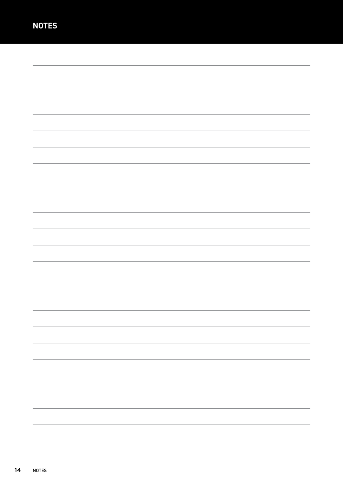| $\overline{\phantom{0}}$ |
|--------------------------|
|                          |
|                          |
| $\overline{\phantom{0}}$ |
|                          |
|                          |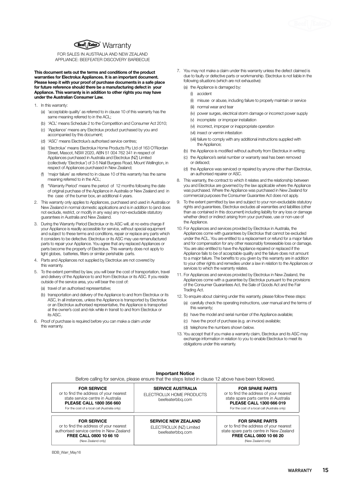

FOR SALES IN AUSTRALIA AND NEW ZEALAND APPLIANCE: BEEFEATER DISCOVERY BARBECUE

**This document sets out the terms and conditions of the product warranties for Electrolux Appliances. It is an important document. Please keep it with your proof of purchase documents in a safe place for future reference should there be a manufacturing defect in your Appliance. This warranty is in addition to other rights you may have under the Australian Consumer Law.**

- 1. In this warranty:
	- (a) 'acceptable quality' as referred to in clause 10 of this warranty has the same meaning referred to in the ACL;
	- (b) 'ACL' means Schedule 2 to the Competition and Consumer Act 2010;
	- (c) 'Appliance' means any Electrolux product purchased by you and accompanied by this document;
	- (d) 'ASC' means Electrolux's authorised service centres;
	- (e) 'Electrolux' means Electrolux Home Products Pty Ltd of 163 O'Riordan Street, Mascot, NSW 2020, ABN 51 004 762 341 in respect of Appliances purchased in Australia and Electrolux (NZ) Limited (collectively 'Electrolux') of 3-5 Niall Burgess Road, Mount Wellington, in respect of Appliances purchased in New Zealand;
	- (f) 'major failure' as referred to in clause 10 of this warranty has the same meaning referred to in the ACL;
	- "Warranty Period' means the period of 12 months following the date of original purchase of the Appliance in Australia or New Zealand and in the case of the burner box, an additional 4 years.
- 2. This warranty only applies to Appliances, purchased and used in Australia or New Zealand in normal domestic applications and is in addition to (and does not exclude, restrict, or modify in any way) any non-excludable statutory guarantees in Australia and New Zealand.
- 3. During the Warranty Period Electrolux or its ASC will, at no extra charge if your Appliance is readily accessible for service, without special equipment and subject to these terms and conditions, repair or replace any parts which it considers to be defective. Electrolux or its ASC may use remanufactured parts to repair your Appliance. You agree that any replaced Appliances or parts become the property of Electrolux. This warranty does not apply to light globes, batteries, filters or similar perishable parts.
- 4. Parts and Appliances not supplied by Electrolux are not covered by this warranty.
- 5. To the extent permitted by law, you will bear the cost of transportation, travel and delivery of the Appliance to and from Electrolux or its ASC. If you reside outside of the service area, you will bear the cost of:
	- (a) travel of an authorised representative;
	- (b) transportation and delivery of the Appliance to and from Electrolux or its ASC, In all instances, unless the Appliance is transported by Electrolux or an Electrolux authorised representative, the Appliance is transported at the owner's cost and risk while in transit to and from Electrolux or its ASC.
- 6. Proof of purchase is required before you can make a claim under this warranty.
- 7. You may not make a claim under this warranty unless the defect claimed is due to faulty or defective parts or workmanship. Electrolux is not liable in the following situations (which are not exhaustive):
	- (a) the Appliance is damaged by:
		- (i) accident
		- (ii) misuse or abuse, including failure to properly maintain or service
		- (iii) normal wear and tear
		- (iv) power surges, electrical storm damage or incorrect power supply
		- (v) incomplete or improper installation
		- (vi) incorrect, improper or inappropriate operation
		- (vii) insect or vermin infestation
		- (viii) failure to comply with any additional instructions supplied with the Appliance;
	- (b) the Appliance is modified without authority from Electrolux in writing;
	- (c) the Appliance's serial number or warranty seal has been removed or defaced;
	- (d) the Appliance was serviced or repaired by anyone other than Electrolux, an authorised repairer or ASC.
- 8. This warranty, the contract to which it relates and the relationship between you and Electrolux are governed by the law applicable where the Appliance was purchased. Where the Appliance was purchased in New Zealand for commercial purposes the Consumer Guarantee Act does not apply.
- 9. To the extent permitted by law and subject to your non-excludable statutory rights and guarantees, Electrolux excludes all warranties and liabilities (other than as contained in this document) including liability for any loss or damage whether direct or indirect arising from your purchase, use or non-use of the Appliance.
- 10. For Appliances and services provided by Electrolux in Australia, the Appliances come with guarantees by Electrolux that cannot be excluded under the ACL. You are entitled to a replacement or refund for a major failure and for compensation for any other reasonably foreseeable loss or damage. You are also entitled to have the Appliance repaired or replaced if the Appliance fails to be of acceptable quality and the failure does not amount to a major failure. The benefits to you given by this warranty are in addition to your other rights and remedies under a law in relation to the Appliances or services to which the warranty relates.
- 11. For Appliances and services provided by Electrolux in New Zealand, the Appliances come with a guarantee by Electrolux pursuant to the provisions of the Consumer Guarantees Act, the Sale of Goods Act and the Fair Trading Act.
- 12. To enquire about claiming under this warranty, please follow these steps: (a) carefully check the operating instructions, user manual and the terms of this warranty;
	- (b) have the model and serial number of the Appliance available;
	- (c) have the proof of purchase (e.g. an invoice) available;
	- (d) telephone the numbers shown below.
- 13. You accept that if you make a warranty claim, Electrolux and its ASC may exchange information in relation to you to enable Electrolux to meet its obligations under this warranty.

| <b>Important Notice</b><br>Before calling for service, please ensure that the steps listed in clause 12 above have been followed.                                              |                                                                           |                                                                                                                                                                                        |
|--------------------------------------------------------------------------------------------------------------------------------------------------------------------------------|---------------------------------------------------------------------------|----------------------------------------------------------------------------------------------------------------------------------------------------------------------------------------|
| <b>FOR SERVICE</b><br>or to find the address of your nearest<br>state service centre in Australia<br>PLEASE CALL 1800 356 660<br>For the cost of a local call (Australia only) | <b>SERVICE AUSTRALIA</b><br>ELECTROLUX HOME PRODUCTS<br>beefeaterbbg.com  | <b>FOR SPARE PARTS</b><br>or to find the address of your nearest<br>state spare parts centre in Australia<br>PLEASE CALL 1300 666 019<br>For the cost of a local call (Australia only) |
| <b>FOR SERVICE</b><br>or to find the address of your nearest<br>authorised service centre in New Zealand<br>FREE CALL 0800 10 66 10<br>(New Zealand only)                      | <b>SERVICE NEW ZEALAND</b><br>ELECTROLUX (NZ) Limited<br>beefeaterbbg.com | <b>FOR SPARE PARTS</b><br>or to find the address of your nearest<br>state spare parts centre in New Zealand<br>FREE CALL 0800 10 66 20<br>(New Zealand only)                           |